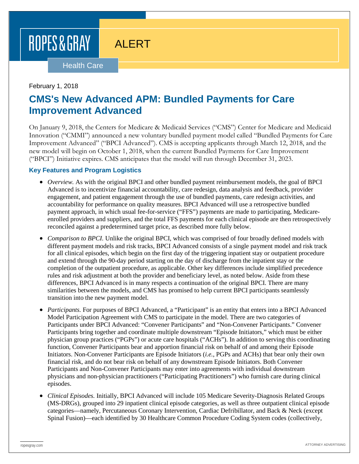# ROPES & GRAY

# ALERT

#### Health Care

### February 1, 2018

### **CMS's New Advanced APM: Bundled Payments for Care Improvement Advanced**

On January 9, 2018, the Centers for Medicare & Medicaid Services ("CMS") Center for Medicare and Medicaid Innovation ("CMMI") announced a new voluntary bundled payment model called "Bundled Payments for Care Improvement Advanced" ("BPCI Advanced"). CMS is accepting applicants through March 12, 2018, and the new model will begin on October 1, 2018, when the current Bundled Payments for Care Improvement ("BPCI") Initiative expires. CMS anticipates that the model will run through December 31, 2023.

### **Key Features and Program Logistics**

- *Overview.* As with the original BPCI and other bundled payment reimbursement models, the goal of BPCI Advanced is to incentivize financial accountability, care redesign, data analysis and feedback, provider engagement, and patient engagement through the use of bundled payments, care redesign activities, and accountability for performance on quality measures. BPCI Advanced will use a retrospective bundled payment approach, in which usual fee-for-service ("FFS") payments are made to participating, Medicareenrolled providers and suppliers, and the total FFS payments for each clinical episode are then retrospectively reconciled against a predetermined target price, as described more fully below.
- *Comparison to BPCI.* Unlike the original BPCI, which was comprised of four broadly defined models with different payment models and risk tracks, BPCI Advanced consists of a single payment model and risk track for all clinical episodes, which begin on the first day of the triggering inpatient stay or outpatient procedure and extend through the 90-day period starting on the day of discharge from the inpatient stay or the completion of the outpatient procedure, as applicable. Other key differences include simplified precedence rules and risk adjustment at both the provider and beneficiary level, as noted below. Aside from these differences, BPCI Advanced is in many respects a continuation of the original BPCI. There are many similarities between the models, and CMS has promised to help current BPCI participants seamlessly transition into the new payment model.
- *Participants*. For purposes of BPCI Advanced, a "Participant" is an entity that enters into a BPCI Advanced Model Participation Agreement with CMS to participate in the model. There are two categories of Participants under BPCI Advanced: "Convener Participants" and "Non-Convener Participants." Convener Participants bring together and coordinate multiple downstream "Episode Initiators," which must be either physician group practices ("PGPs") or acute care hospitals ("ACHs"). In addition to serving this coordinating function, Convener Participants bear and apportion financial risk on behalf of and among their Episode Initiators. Non-Convener Participants are Episode Initiators (*i.e.*, PGPs and ACHs) that bear only their own financial risk, and do not bear risk on behalf of any downstream Episode Initiators. Both Convener Participants and Non-Convener Participants may enter into agreements with individual downstream physicians and non-physician practitioners ("Participating Practitioners") who furnish care during clinical episodes.
- *Clinical Episodes.* Initially, BPCI Advanced will include 105 Medicare Severity-Diagnosis Related Groups (MS-DRGs), grouped into 29 inpatient clinical episode categories, as well as three outpatient clinical episode categories—namely, Percutaneous Coronary Intervention, Cardiac Defribillator, and Back & Neck (except Spinal Fusion)—each identified by 30 Healthcare Common Procedure Coding System codes (collectively,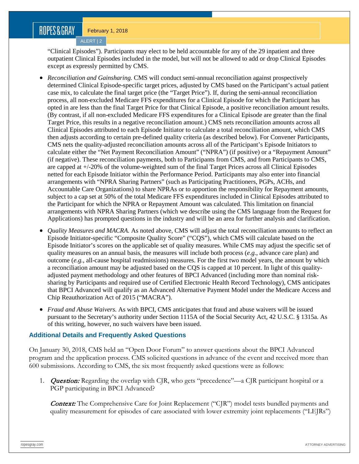### ROPES&GRAY

ALERT | 2

"Clinical Episodes"). Participants may elect to be held accountable for any of the 29 inpatient and three outpatient Clinical Episodes included in the model, but will not be allowed to add or drop Clinical Episodes except as expressly permitted by CMS.

- *Reconciliation and Gainsharing.* CMS will conduct semi-annual reconciliation against prospectively determined Clinical Episode-specific target prices, adjusted by CMS based on the Participant's actual patient case mix, to calculate the final target price (the "Target Price"). If, during the semi-annual reconciliation process, all non-excluded Medicare FFS expenditures for a Clinical Episode for which the Participant has opted in are less than the final Target Price for that Clinical Episode, a positive reconciliation amount results. (By contrast, if all non-excluded Medicare FFS expenditures for a Clinical Episode are greater than the final Target Price, this results in a negative reconciliation amount.) CMS nets reconciliation amounts across all Clinical Episodes attributed to each Episode Initiator to calculate a total reconciliation amount, which CMS then adjusts according to certain pre-defined quality criteria (as described below). For Convener Participants, CMS nets the quality-adjusted reconciliation amounts across all of the Participant's Episode Initiators to calculate either the "Net Payment Reconciliation Amount" ("NPRA") (if positive) or a "Repayment Amount" (if negative). These reconciliation payments, both to Participants from CMS, and from Participants to CMS, are capped at +/-20% of the volume-weighted sum of the final Target Prices across all Clinical Episodes netted for each Episode Initiator within the Performance Period. Participants may also enter into financial arrangements with "NPRA Sharing Partners" (such as Participating Practitioners, PGPs, ACHs, and Accountable Care Organizations) to share NPRAs or to apportion the responsibility for Repayment amounts, subject to a cap set at 50% of the total Medicare FFS expenditures included in Clinical Episodes attributed to the Participant for which the NPRA or Repayment Amount was calculated. This limitation on financial arrangements with NPRA Sharing Partners (which we describe using the CMS language from the Request for Applications) has prompted questions in the industry and will be an area for further analysis and clarification.
- *Quality Measures and MACRA*. As noted above, CMS will adjust the total reconciliation amounts to reflect an Episode Initiator-specific "Composite Quality Score" ("CQS"), which CMS will calculate based on the Episode Initiator's scores on the applicable set of quality measures. While CMS may adjust the specific set of quality measures on an annual basis, the measures will include both process (*e.g.*, advance care plan) and outcome (*e.g.*, all-cause hospital readmissions) measures. For the first two model years, the amount by which a reconciliation amount may be adjusted based on the CQS is capped at 10 percent. In light of this qualityadjusted payment methodology and other features of BPCI Advanced (including more than nominal risksharing by Participants and required use of Certified Electronic Health Record Technology), CMS anticipates that BPCI Advanced will qualify as an Advanced Alternative Payment Model under the Medicare Access and Chip Reauthorization Act of 2015 ("MACRA").
- *Fraud and Abuse Waivers.* As with BPCI, CMS anticipates that fraud and abuse waivers will be issued pursuant to the Secretary's authority under Section 1115A of the Social Security Act, 42 U.S.C. § 1315a. As of this writing, however, no such waivers have been issued.

### **Additional Details and Frequently Asked Questions**

On January 30, 2018, CMS held an "Open Door Forum" to answer questions about the BPCI Advanced program and the application process. CMS solicited questions in advance of the event and received more than 600 submissions. According to CMS, the six most frequently asked questions were as follows:

1. **Question:** Regarding the overlap with CJR, who gets "precedence"—a CJR participant hospital or a PGP participating in BPCI Advanced?

Context: The Comprehensive Care for Joint Replacement ("CJR") model tests bundled payments and quality measurement for episodes of care associated with lower extremity joint replacements ("LEJRs")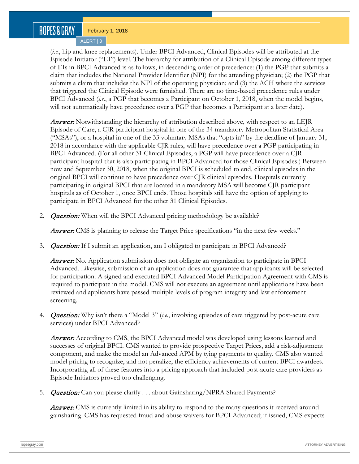## ROPES & GRAY

February 1, 2018

ALERT | 3

(*i.e.*, hip and knee replacements). Under BPCI Advanced, Clinical Episodes will be attributed at the Episode Initiator ("EI") level. The hierarchy for attribution of a Clinical Episode among different types of EIs in BPCI Advanced is as follows, in descending order of precedence: (1) the PGP that submits a claim that includes the National Provider Identifier (NPI) for the attending physician; (2) the PGP that submits a claim that includes the NPI of the operating physician; and (3) the ACH where the services that triggered the Clinical Episode were furnished. There are no time-based precedence rules under BPCI Advanced (*i.e.*, a PGP that becomes a Participant on October 1, 2018, when the model begins, will not automatically have precedence over a PGP that becomes a Participant at a later date).

**Answer:** Notwithstanding the hierarchy of attribution described above, with respect to an LEJR Episode of Care, a CJR participant hospital in one of the 34 mandatory Metropolitan Statistical Area ("MSAs"), or a hospital in one of the 33 voluntary MSAs that "opts in" by the deadline of January 31, 2018 in accordance with the applicable CJR rules, will have precedence over a PGP participating in BPCI Advanced. (For all other 31 Clinical Episodes, a PGP will have precedence over a CJR participant hospital that is also participating in BPCI Advanced for those Clinical Episodes.) Between now and September 30, 2018, when the original BPCI is scheduled to end, clinical episodes in the original BPCI will continue to have precedence over CJR clinical episodes. Hospitals currently participating in original BPCI that are located in a mandatory MSA will become CJR participant hospitals as of October 1, once BPCI ends. Those hospitals still have the option of applying to participate in BPCI Advanced for the other 31 Clinical Episodes.

2. **Question:** When will the BPCI Advanced pricing methodology be available?

**Answer:** CMS is planning to release the Target Price specifications "in the next few weeks."

3. **Question:** If I submit an application, am I obligated to participate in BPCI Advanced?

**Answer:** No. Application submission does not obligate an organization to participate in BPCI Advanced. Likewise, submission of an application does not guarantee that applicants will be selected for participation. A signed and executed BPCI Advanced Model Participation Agreement with CMS is required to participate in the model. CMS will not execute an agreement until applications have been reviewed and applicants have passed multiple levels of program integrity and law enforcement screening.

4. Question: Why isn't there a "Model 3" (*i.e.*, involving episodes of care triggered by post-acute care services) under BPCI Advanced?

**Answer:** According to CMS, the BPCI Advanced model was developed using lessons learned and successes of original BPCI. CMS wanted to provide prospective Target Prices, add a risk-adjustment component, and make the model an Advanced APM by tying payments to quality. CMS also wanted model pricing to recognize, and not penalize, the efficiency achievements of current BPCI awardees. Incorporating all of these features into a pricing approach that included post-acute care providers as Episode Initiators proved too challenging.

5. *Question:* Can you please clarify . . . about Gainsharing/NPRA Shared Payments?

**Answer:** CMS is currently limited in its ability to respond to the many questions it received around gainsharing. CMS has requested fraud and abuse waivers for BPCI Advanced; if issued, CMS expects